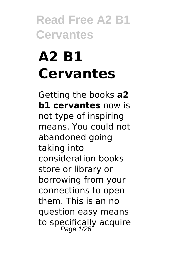# **A2 B1 Cervantes**

Getting the books **a2 b1 cervantes** now is not type of inspiring means. You could not abandoned going taking into consideration books store or library or borrowing from your connections to open them. This is an no question easy means to specifically acquire<br>Page 1/26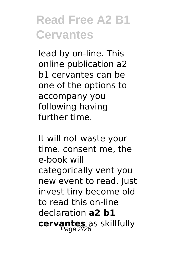lead by on-line. This online publication a2 b1 cervantes can be one of the options to accompany you following having further time.

It will not waste your time. consent me, the e-book will categorically vent you new event to read. Just invest tiny become old to read this on-line declaration **a2 b1** cervantes as skillfully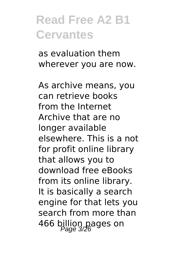as evaluation them wherever you are now.

As archive means, you can retrieve books from the Internet Archive that are no longer available elsewhere. This is a not for profit online library that allows you to download free eBooks from its online library. It is basically a search engine for that lets you search from more than 466 billion pages on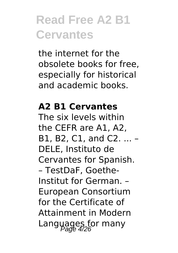the internet for the obsolete books for free, especially for historical and academic books.

#### **A2 B1 Cervantes**

The six levels within the CEFR are A1, A2, B1, B2, C1, and C2. ... – DELE, Instituto de Cervantes for Spanish. – TestDaF, Goethe-Institut for German. – European Consortium for the Certificate of Attainment in Modern Languages for many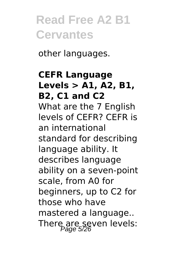other languages.

#### **CEFR Language Levels > A1, A2, B1, B2, C1 and C2** What are the 7 English levels of CEFR? CEFR is an international standard for describing language ability. It

describes language ability on a seven-point scale, from A0 for beginners, up to C2 for those who have mastered a language.. There are seven levels: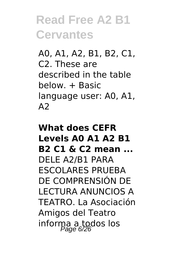A0, A1, A2, B1, B2, C1, C2. These are described in the table below. + Basic language user: A0, A1,  $A<sub>2</sub>$ 

#### **What does CEFR Levels A0 A1 A2 B1 B2 C1 & C2 mean ...** DELE A2/B1 PARA ESCOLARES PRUEBA DE COMPRENSIÓN DE LECTURA ANUNCIOS A TEATRO. La Asociación Amigos del Teatro informa a todos los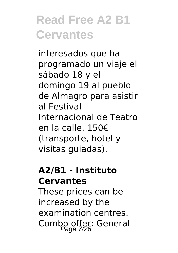interesados que ha programado un viaje el sábado 18 y el domingo 19 al pueblo de Almagro para asistir al Festival Internacional de Teatro en la calle. 150€ (transporte, hotel y visitas guiadas).

#### **A2/B1 - Instituto Cervantes**

These prices can be increased by the examination centres. Combo offer: General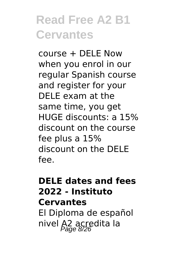course + DELE Now when you enrol in our regular Spanish course and register for your DELE exam at the same time, you get HUGE discounts: a 15% discount on the course fee plus a 15% discount on the DELE fee.

#### **DELE dates and fees 2022 - Instituto Cervantes** El Diploma de español nivel A2 acredita la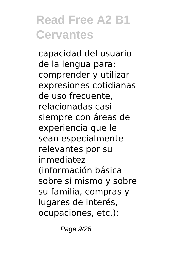capacidad del usuario de la lengua para: comprender y utilizar expresiones cotidianas de uso frecuente, relacionadas casi siempre con áreas de experiencia que le sean especialmente relevantes por su inmediatez (información básica sobre sí mismo y sobre su familia, compras y lugares de interés, ocupaciones, etc.);

Page 9/26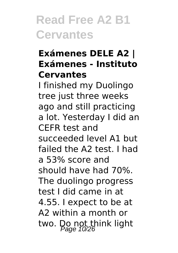#### **Exámenes DELE A2 | Exámenes - Instituto Cervantes**

I finished my Duolingo tree just three weeks ago and still practicing a lot. Yesterday I did an CEFR test and succeeded level A1 but failed the A2 test. I had a 53% score and should have had 70%. The duolingo progress test I did came in at 4.55. I expect to be at A2 within a month or two. Do not think light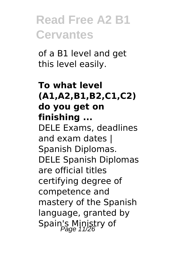of a B1 level and get this level easily.

#### **To what level (A1,A2,B1,B2,C1,C2) do you get on finishing ...** DELE Exams, deadlines and exam dates | Spanish Diplomas. DELE Spanish Diplomas are official titles certifying degree of competence and mastery of the Spanish language, granted by Spain's Ministry of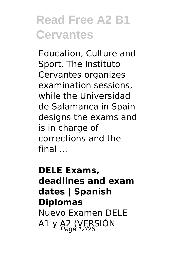Education, Culture and Sport. The Instituto Cervantes organizes examination sessions, while the Universidad de Salamanca in Spain designs the exams and is in charge of corrections and the final ...

#### **DELE Exams, deadlines and exam dates | Spanish Diplomas** Nuevo Examen DELE A1 y A2 (VERSIÓN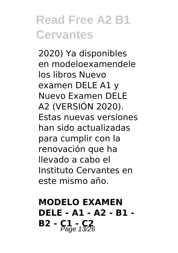2020) Ya disponibles en modeloexamendele los libros Nuevo examen DELE A1 y Nuevo Examen DELE A2 (VERSIÓN 2020). Estas nuevas versiones han sido actualizadas para cumplir con la renovación que ha llevado a cabo el Instituto Cervantes en este mismo año.

**MODELO EXAMEN DELE - A1 - A2 - B1 -**  $B2 - C_{\frac{1}{2} \cap \alpha} - C_{\frac{1}{2} \sqrt{26}}$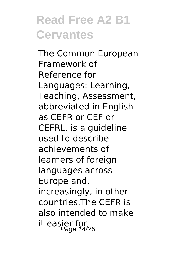The Common European Framework of Reference for Languages: Learning, Teaching, Assessment, abbreviated in English as CEFR or CEF or CEFRL, is a guideline used to describe achievements of learners of foreign languages across Europe and, increasingly, in other countries.The CEFR is also intended to make it easier for<br>Page 14/26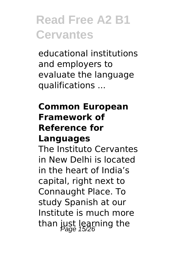educational institutions and employers to evaluate the language qualifications ...

#### **Common European Framework of Reference for**

#### **Languages**

The Instituto Cervantes in New Delhi is located in the heart of India's capital, right next to Connaught Place. To study Spanish at our Institute is much more than just learning the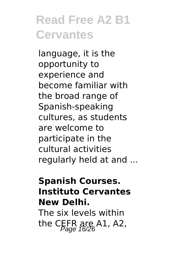language, it is the opportunity to experience and become familiar with the broad range of Spanish-speaking cultures, as students are welcome to participate in the cultural activities regularly held at and ...

#### **Spanish Courses. Instituto Cervantes New Delhi.**

The six levels within the CEFR are A1, A2,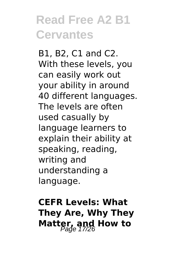B1, B2, C1 and C2. With these levels, you can easily work out your ability in around 40 different languages. The levels are often used casually by language learners to explain their ability at speaking, reading, writing and understanding a language.

### **CEFR Levels: What They Are, Why They Matter, and How to**  $P_{\text{age}}$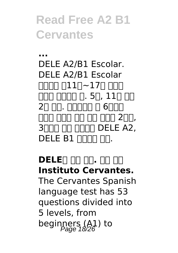**...** DELE A2/B1 Escolar. DELE A2/B1 Escolar  $\Pi\Pi\Pi\Pi\Pi$ 11 $\Pi$ ~17 $\Pi$  NMO ገበ በበበበ በ. 5በ. 11በ በበ  $2n$  מחחמת ה $6$ חמת 구성된 유럽어 공통 평가 기준의 2단계, 3HHH HHHHH DELE A2, DELE B1 NNNN NN.

#### **DELE**N NN NN. NN NN **Instituto Cervantes.**

The Cervantes Spanish language test has 53 questions divided into 5 levels, from beginners  $(A1)$  to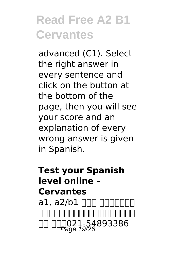advanced (C1). Select the right answer in every sentence and click on the button at the bottom of the page, then you will see your score and an explanation of every wrong answer is given in Spanish.

#### **Test your Spanish level online - Cervantes**  $a1. a2/b1$   $\Box$  $\Box$ 少年考试,请联络中智塞万提斯西班牙语中 OO DOD<sub>age</sub> 19/26<br>Page 19/26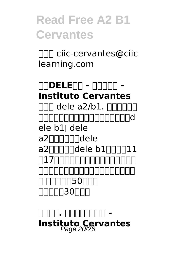**ΠΠΠ** ciic-cervantes@ciic learning.com

#### **上海DELE考试 - 时间和费用 - Instituto Cervantes**  $\Pi\Pi\Pi$  dele a2/b1.  $\Pi\Pi\Pi\Pi\Pi\Pi$  $\sqcap$ nnnnnnnnnnnndd $\sqcap$ ele b1∏dele a2nnnnndele a2nnnndele b1000011 至17岁的考生。因此,出于对考生各自语 言及交流环境的考虑,考试由以下部分组成 hnnn50nnn 听力理解(30分钟)

**考试样卷. 北京塞万提斯学院 - Instituto Cervantes** Page 20/26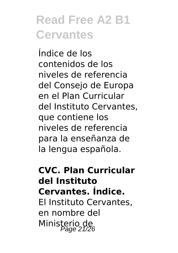Índice de los contenidos de los niveles de referencia del Consejo de Europa en el Plan Curricular del Instituto Cervantes, que contiene los niveles de referencia para la enseñanza de la lengua española.

### **CVC. Plan Curricular del Instituto Cervantes. Índice.** El Instituto Cervantes, en nombre del Ministerio de<br>Page 21/26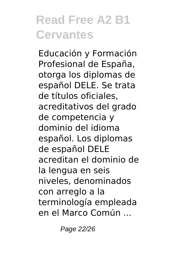Educación y Formación Profesional de España, otorga los diplomas de español DELE. Se trata de títulos oficiales, acreditativos del grado de competencia y dominio del idioma español. Los diplomas de español DELE acreditan el dominio de la lengua en seis niveles, denominados con arreglo a la terminología empleada en el Marco Común ...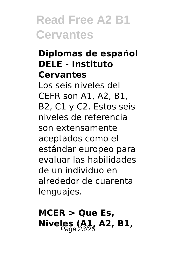#### **Diplomas de español DELE - Instituto Cervantes**

Los seis niveles del CEFR son A1, A2, B1, B2, C1 y C2. Estos seis niveles de referencia son extensamente aceptados como el estándar europeo para evaluar las habilidades de un individuo en alrededor de cuarenta lenguajes.

**MCER > Que Es, Niveles (A1, A2, B1,**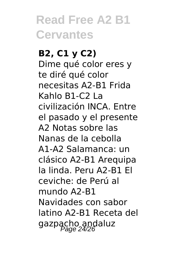### **B2, C1 y C2)**

Dime qué color eres y te diré qué color necesitas A2-B1 Frida Kahlo B1-C2 La civilización INCA. Entre el pasado y el presente A2 Notas sobre las Nanas de la cebolla A1-A2 Salamanca: un clásico A2-B1 Arequipa la linda. Peru A2-B1 El ceviche: de Perú al mundo A2-B1 Navidades con sabor latino A2-B1 Receta del gazpacho andaluz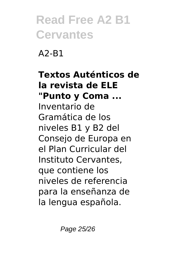A2-B1

#### **Textos Auténticos de la revista de ELE "Punto y Coma ...** Inventario de Gramática de los niveles B1 y B2 del Consejo de Europa en el Plan Curricular del Instituto Cervantes, que contiene los niveles de referencia para la enseñanza de la lengua española.